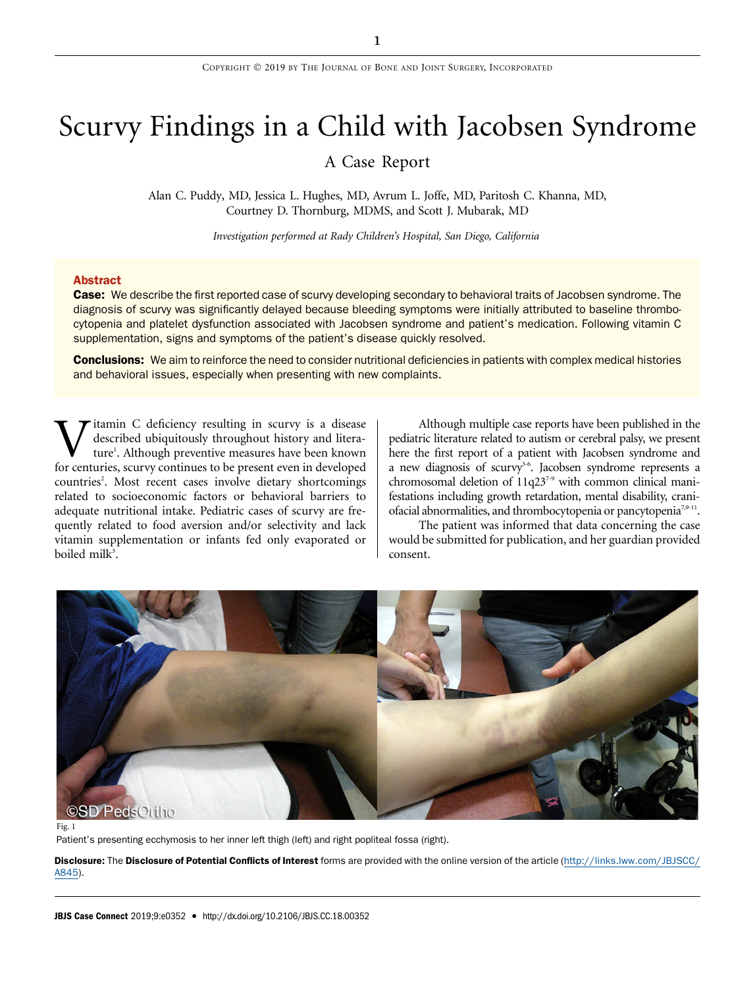# Scurvy Findings in a Child with Jacobsen Syndrome

## A Case Report

Alan C. Puddy, MD, Jessica L. Hughes, MD, Avrum L. Joffe, MD, Paritosh C. Khanna, MD, Courtney D. Thornburg, MDMS, and Scott J. Mubarak, MD

Investigation performed at Rady Children's Hospital, San Diego, California

#### Abstract

Case: We describe the first reported case of scurvy developing secondary to behavioral traits of Jacobsen syndrome. The diagnosis of scurvy was significantly delayed because bleeding symptoms were initially attributed to baseline thrombocytopenia and platelet dysfunction associated with Jacobsen syndrome and patient's medication. Following vitamin C supplementation, signs and symptoms of the patient's disease quickly resolved.

Conclusions: We aim to reinforce the need to consider nutritional deficiencies in patients with complex medical histories and behavioral issues, especially when presenting with new complaints.

itamin C deficiency resulting in scurvy is a disease described ubiquitously throughout history and literature<sup>1</sup>. Although preventive measures have been known for centuries, scurvy continues to be present even in developed countries<sup>2</sup>. Most recent cases involve dietary shortcomings related to socioeconomic factors or behavioral barriers to adequate nutritional intake. Pediatric cases of scurvy are frequently related to food aversion and/or selectivity and lack vitamin supplementation or infants fed only evaporated or boiled milk<sup>3</sup>.

Although multiple case reports have been published in the pediatric literature related to autism or cerebral palsy, we present here the first report of a patient with Jacobsen syndrome and a new diagnosis of scurvy<sup>3-6</sup>. Jacobsen syndrome represents a chromosomal deletion of 11q237-9 with common clinical manifestations including growth retardation, mental disability, craniofacial abnormalities, and thrombocytopenia or pancytopenia<sup>7,9-11</sup>.

The patient was informed that data concerning the case would be submitted for publication, and her guardian provided consent.



Fig. 1

Patient's presenting ecchymosis to her inner left thigh (left) and right popliteal fossa (right).

Disclosure: The Disclosure of Potential Conflicts of Interest forms are provided with the online version of the article [\(http://links.lww.com/JBJSCC/](http://links.lww.com/JBJSCC/A845) [A845](http://links.lww.com/JBJSCC/A845)).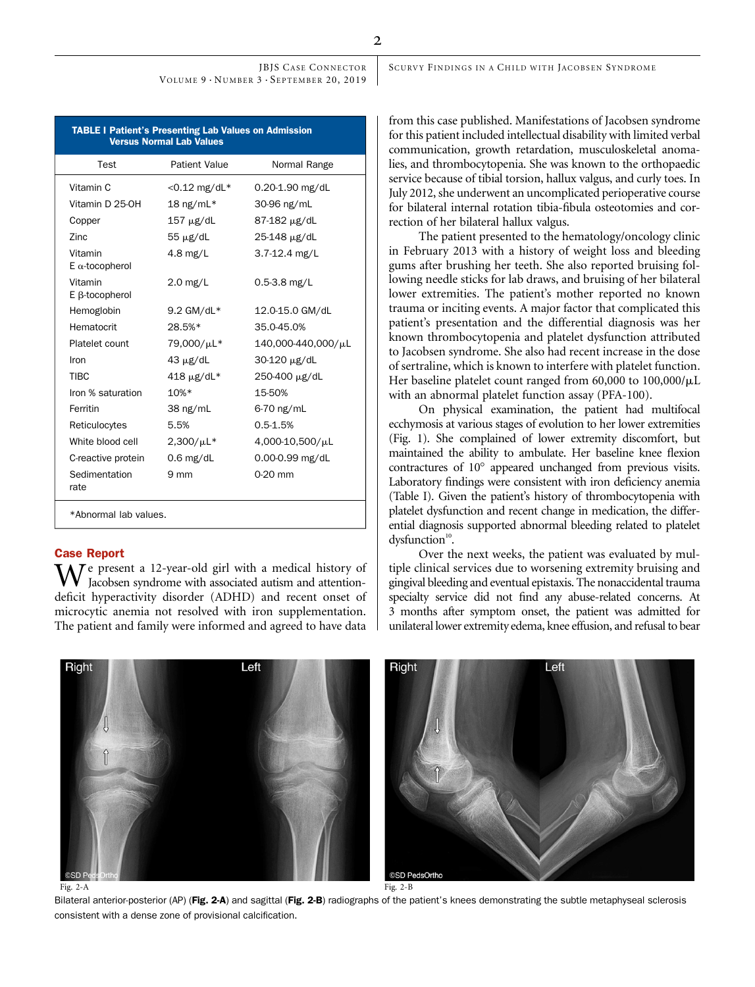JBJS CASE CONNECTOR VOLUME 9 · NUMBER 3 · SEPTEMBER 20, 2019

| <b>TABLE I Patient's Presenting Lab Values on Admission</b><br><b>Versus Normal Lab Values</b> |                      |                    |
|------------------------------------------------------------------------------------------------|----------------------|--------------------|
| Test                                                                                           | <b>Patient Value</b> | Normal Range       |
| Vitamin C                                                                                      | $<$ 0.12 mg/dL*      | 0.20-1.90 mg/dL    |
| Vitamin D 25-0H                                                                                | 18 ng/m $L^*$        | 30-96 ng/mL        |
| Copper                                                                                         | $157 \mu g/dL$       | 87-182 μg/dL       |
| 7inc                                                                                           | $55 \mu g/dL$        | 25-148 µg/dL       |
| Vitamin<br>$E \alpha$ -tocopherol                                                              | $4.8$ mg/L           | $3.7 - 12.4$ mg/L  |
| Vitamin<br>E ß-tocopherol                                                                      | $2.0$ mg/L           | $0.5 - 3.8$ mg/L   |
| Hemoglobin                                                                                     | $9.2$ GM/dL*         | 12.0-15.0 GM/dL    |
| Hematocrit                                                                                     | 28.5%*               | 35.0-45.0%         |
| Platelet count                                                                                 | 79,000/µL*           | 140,000-440,000/µL |
| Iron                                                                                           | $43 \mu g/dL$        | 30-120 µg/dL       |
| <b>TIBC</b>                                                                                    | $418 \mu g/dL^*$     | 250-400 µg/dL      |
| Iron % saturation                                                                              | $10%$ *              | 15-50%             |
| Ferritin                                                                                       | $38 \text{ ng/mL}$   | 6-70 ng/mL         |
| Reticulocytes                                                                                  | 5.5%                 | $0.5 - 1.5%$       |
| White blood cell                                                                               | $2,300/\mu L*$       | 4,000-10,500/µL    |
| C-reactive protein                                                                             | $0.6$ mg/dL          | 0.00-0.99 mg/dL    |
| Sedimentation<br>rate                                                                          | $9 \text{ mm}$       | $0-20$ mm          |
| *Abnormal lab values.                                                                          |                      |                    |

### Case Report

Right

 $\mathcal T$ e present a 12-year-old girl with a medical history of Jacobsen syndrome with associated autism and attentiondeficit hyperactivity disorder (ADHD) and recent onset of microcytic anemia not resolved with iron supplementation. The patient and family were informed and agreed to have data

from this case published. Manifestations of Jacobsen syndrome for this patient included intellectual disability with limited verbal communication, growth retardation, musculoskeletal anomalies, and thrombocytopenia. She was known to the orthopaedic service because of tibial torsion, hallux valgus, and curly toes. In July 2012, she underwent an uncomplicated perioperative course for bilateral internal rotation tibia-fibula osteotomies and correction of her bilateral hallux valgus.

SCURVY FINDINGS IN A CHILD WITH JACOBSEN SYNDROME

The patient presented to the hematology/oncology clinic in February 2013 with a history of weight loss and bleeding gums after brushing her teeth. She also reported bruising following needle sticks for lab draws, and bruising of her bilateral lower extremities. The patient's mother reported no known trauma or inciting events. A major factor that complicated this patient's presentation and the differential diagnosis was her known thrombocytopenia and platelet dysfunction attributed to Jacobsen syndrome. She also had recent increase in the dose of sertraline, which is known to interfere with platelet function. Her baseline platelet count ranged from  $60,000$  to  $100,000/\mu L$ with an abnormal platelet function assay (PFA-100).

On physical examination, the patient had multifocal ecchymosis at various stages of evolution to her lower extremities (Fig. 1). She complained of lower extremity discomfort, but maintained the ability to ambulate. Her baseline knee flexion contractures of 10° appeared unchanged from previous visits. Laboratory findings were consistent with iron deficiency anemia (Table I). Given the patient's history of thrombocytopenia with platelet dysfunction and recent change in medication, the differential diagnosis supported abnormal bleeding related to platelet

Over the next weeks, the patient was evaluated by multiple clinical services due to worsening extremity bruising and gingival bleeding and eventual epistaxis. The nonaccidental trauma specialty service did not find any abuse-related concerns. At 3 months after symptom onset, the patient was admitted for unilateral lower extremity edema, knee effusion, and refusal to bear

**SD PedsOrth** Fig. 2-A Fig. 2-B

Bilateral anterior-posterior (AP) (Fig. 2-A) and sagittal (Fig. 2-B) radiographs of the patient's knees demonstrating the subtle metaphyseal sclerosis consistent with a dense zone of provisional calcification.

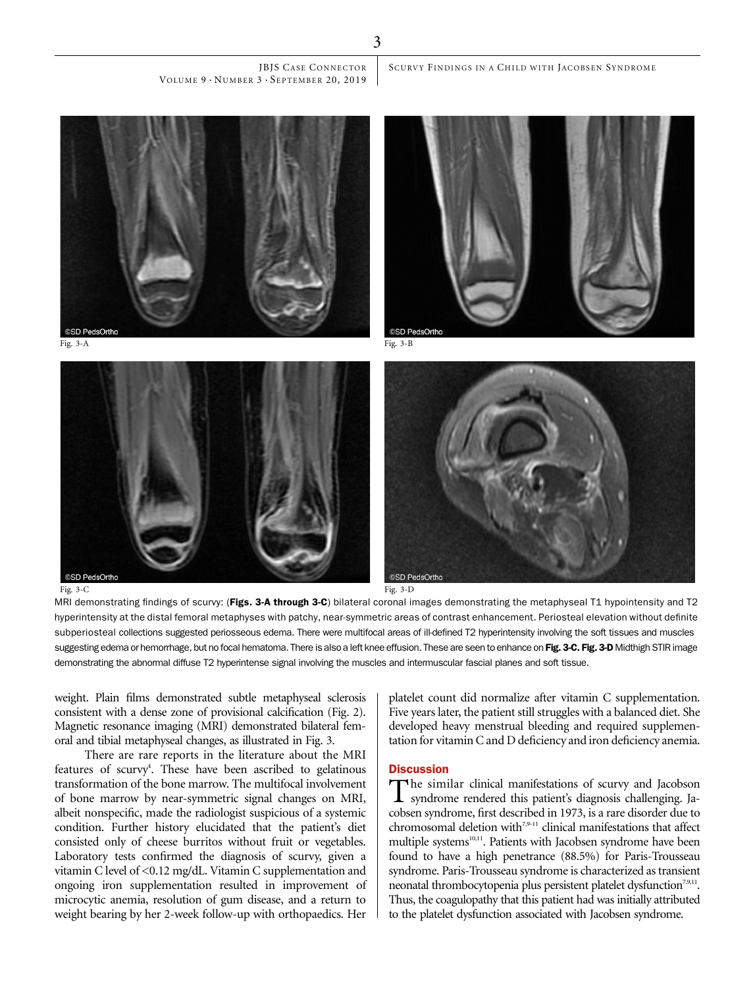JBJS CASE CONNECTOR VOLUME 9 · NUMBER 3 · SEPTEMBER 20, 2019

**SD PedsOrtho** 

Fig. 3-A Fig. 3-B







MRI demonstrating findings of scurvy: (Figs. 3-A through 3-C) bilateral coronal images demonstrating the metaphyseal T1 hypointensity and T2 hyperintensity at the distal femoral metaphyses with patchy, near-symmetric areas of contrast enhancement. Periosteal elevation without definite subperiosteal collections suggested periosseous edema. There were multifocal areas of ill-defined T2 hyperintensity involving the soft tissues and muscles suggesting edema or hemorrhage, but no focal hematoma. There is also a left knee effusion. These are seen to enhance on Fig. 3-C. Fig. 3-D Midthigh STIR image demonstrating the abnormal diffuse T2 hyperintense signal involving the muscles and intermuscular fascial planes and soft tissue.

weight. Plain films demonstrated subtle metaphyseal sclerosis consistent with a dense zone of provisional calcification (Fig. 2). Magnetic resonance imaging (MRI) demonstrated bilateral femoral and tibial metaphyseal changes, as illustrated in Fig. 3.

There are rare reports in the literature about the MRI features of scurvy<sup>4</sup>. These have been ascribed to gelatinous transformation of the bone marrow. The multifocal involvement of bone marrow by near-symmetric signal changes on MRI, albeit nonspecific, made the radiologist suspicious of a systemic condition. Further history elucidated that the patient's diet consisted only of cheese burritos without fruit or vegetables. Laboratory tests confirmed the diagnosis of scurvy, given a vitamin C level of <0.12 mg/dL. Vitamin C supplementation and ongoing iron supplementation resulted in improvement of microcytic anemia, resolution of gum disease, and a return to weight bearing by her 2-week follow-up with orthopaedics. Her

platelet count did normalize after vitamin C supplementation. Five years later, the patient still struggles with a balanced diet. She developed heavy menstrual bleeding and required supplementation for vitamin C and D deficiency and iron deficiency anemia.

### **Discussion**

The similar clinical manifestations of scurvy and Jacobson syndrome rendered this patient's diagnosis challenging. Jacobsen syndrome, first described in 1973, is a rare disorder due to chromosomal deletion with<sup>7,9-11</sup> clinical manifestations that affect multiple systems<sup>10,11</sup>. Patients with Jacobsen syndrome have been found to have a high penetrance (88.5%) for Paris-Trousseau syndrome. Paris-Trousseau syndrome is characterized as transient neonatal thrombocytopenia plus persistent platelet dysfunction<sup>7,9,11</sup>. Thus, the coagulopathy that this patient had was initially attributed to the platelet dysfunction associated with Jacobsen syndrome.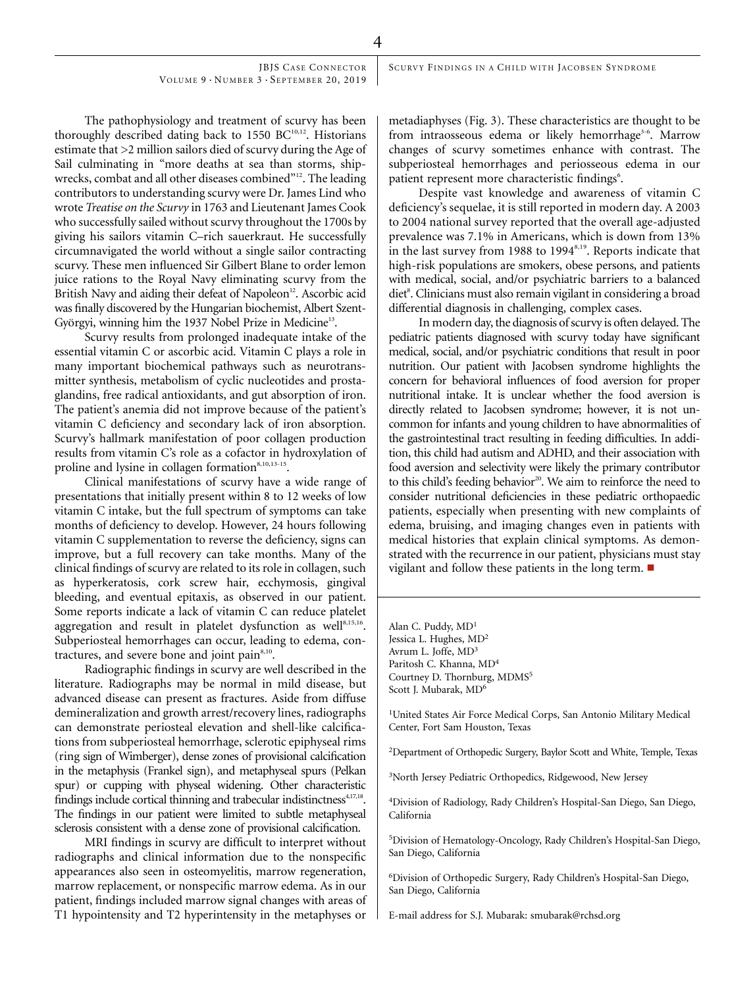4

JBJS CASE CONNECTOR VOLUME 9 · NUMBER 3 · SEPTEMBER 20, 2019

The pathophysiology and treatment of scurvy has been thoroughly described dating back to 1550  $BC^{10,12}$ . Historians estimate that >2 million sailors died of scurvy during the Age of Sail culminating in "more deaths at sea than storms, shipwrecks, combat and all other diseases combined"<sup>12</sup>. The leading contributors to understanding scurvy were Dr. James Lind who wrote Treatise on the Scurvy in 1763 and Lieutenant James Cook who successfully sailed without scurvy throughout the 1700s by giving his sailors vitamin C–rich sauerkraut. He successfully circumnavigated the world without a single sailor contracting scurvy. These men influenced Sir Gilbert Blane to order lemon juice rations to the Royal Navy eliminating scurvy from the British Navy and aiding their defeat of Napoleon<sup>12</sup>. Ascorbic acid was finally discovered by the Hungarian biochemist, Albert Szent-Györgyi, winning him the 1937 Nobel Prize in Medicine<sup>13</sup>.

Scurvy results from prolonged inadequate intake of the essential vitamin C or ascorbic acid. Vitamin C plays a role in many important biochemical pathways such as neurotransmitter synthesis, metabolism of cyclic nucleotides and prostaglandins, free radical antioxidants, and gut absorption of iron. The patient's anemia did not improve because of the patient's vitamin C deficiency and secondary lack of iron absorption. Scurvy's hallmark manifestation of poor collagen production results from vitamin C's role as a cofactor in hydroxylation of proline and lysine in collagen formation<sup>8,10,13-15</sup>.

Clinical manifestations of scurvy have a wide range of presentations that initially present within 8 to 12 weeks of low vitamin C intake, but the full spectrum of symptoms can take months of deficiency to develop. However, 24 hours following vitamin C supplementation to reverse the deficiency, signs can improve, but a full recovery can take months. Many of the clinical findings of scurvy are related to its role in collagen, such as hyperkeratosis, cork screw hair, ecchymosis, gingival bleeding, and eventual epitaxis, as observed in our patient. Some reports indicate a lack of vitamin C can reduce platelet aggregation and result in platelet dysfunction as well<sup>8,15,16</sup>. Subperiosteal hemorrhages can occur, leading to edema, contractures, and severe bone and joint pain<sup>8,10</sup>.

Radiographic findings in scurvy are well described in the literature. Radiographs may be normal in mild disease, but advanced disease can present as fractures. Aside from diffuse demineralization and growth arrest/recovery lines, radiographs can demonstrate periosteal elevation and shell-like calcifications from subperiosteal hemorrhage, sclerotic epiphyseal rims (ring sign of Wimberger), dense zones of provisional calcification in the metaphysis (Frankel sign), and metaphyseal spurs (Pelkan spur) or cupping with physeal widening. Other characteristic findings include cortical thinning and trabecular indistinctness<sup>4,17,18</sup>. The findings in our patient were limited to subtle metaphyseal sclerosis consistent with a dense zone of provisional calcification.

MRI findings in scurvy are difficult to interpret without radiographs and clinical information due to the nonspecific appearances also seen in osteomyelitis, marrow regeneration, marrow replacement, or nonspecific marrow edema. As in our patient, findings included marrow signal changes with areas of T1 hypointensity and T2 hyperintensity in the metaphyses or

metadiaphyses (Fig. 3). These characteristics are thought to be from intraosseous edema or likely hemorrhage<sup>3-6</sup>. Marrow changes of scurvy sometimes enhance with contrast. The subperiosteal hemorrhages and periosseous edema in our patient represent more characteristic findings<sup>6</sup>.

Despite vast knowledge and awareness of vitamin C deficiency's sequelae, it is still reported in modern day. A 2003 to 2004 national survey reported that the overall age-adjusted prevalence was 7.1% in Americans, which is down from 13% in the last survey from 1988 to 1994<sup>8,19</sup>. Reports indicate that high-risk populations are smokers, obese persons, and patients with medical, social, and/or psychiatric barriers to a balanced diet<sup>8</sup>. Clinicians must also remain vigilant in considering a broad differential diagnosis in challenging, complex cases.

In modern day, the diagnosis of scurvy is often delayed. The pediatric patients diagnosed with scurvy today have significant medical, social, and/or psychiatric conditions that result in poor nutrition. Our patient with Jacobsen syndrome highlights the concern for behavioral influences of food aversion for proper nutritional intake. It is unclear whether the food aversion is directly related to Jacobsen syndrome; however, it is not uncommon for infants and young children to have abnormalities of the gastrointestinal tract resulting in feeding difficulties. In addition, this child had autism and ADHD, and their association with food aversion and selectivity were likely the primary contributor to this child's feeding behavior<sup>20</sup>. We aim to reinforce the need to consider nutritional deficiencies in these pediatric orthopaedic patients, especially when presenting with new complaints of edema, bruising, and imaging changes even in patients with medical histories that explain clinical symptoms. As demonstrated with the recurrence in our patient, physicians must stay vigilant and follow these patients in the long term.  $\blacksquare$ 

Alan C. Puddy, MD<sup>1</sup> Jessica L. Hughes, MD<sup>2</sup> Avrum L. Joffe, MD3 Paritosh C. Khanna, MD4 Courtney D. Thornburg, MDMS<sup>5</sup> Scott J. Mubarak, MD<sup>6</sup>

1 United States Air Force Medical Corps, San Antonio Military Medical Center, Fort Sam Houston, Texas

2 Department of Orthopedic Surgery, Baylor Scott and White, Temple, Texas

3North Jersey Pediatric Orthopedics, Ridgewood, New Jersey

4 Division of Radiology, Rady Children's Hospital-San Diego, San Diego, California

5 Division of Hematology-Oncology, Rady Children's Hospital-San Diego, San Diego, California

6Division of Orthopedic Surgery, Rady Children's Hospital-San Diego, San Diego, California

E-mail address for S.J. Mubarak: [smubarak@rchsd.org](mailto:smubarak@rchsd.org)